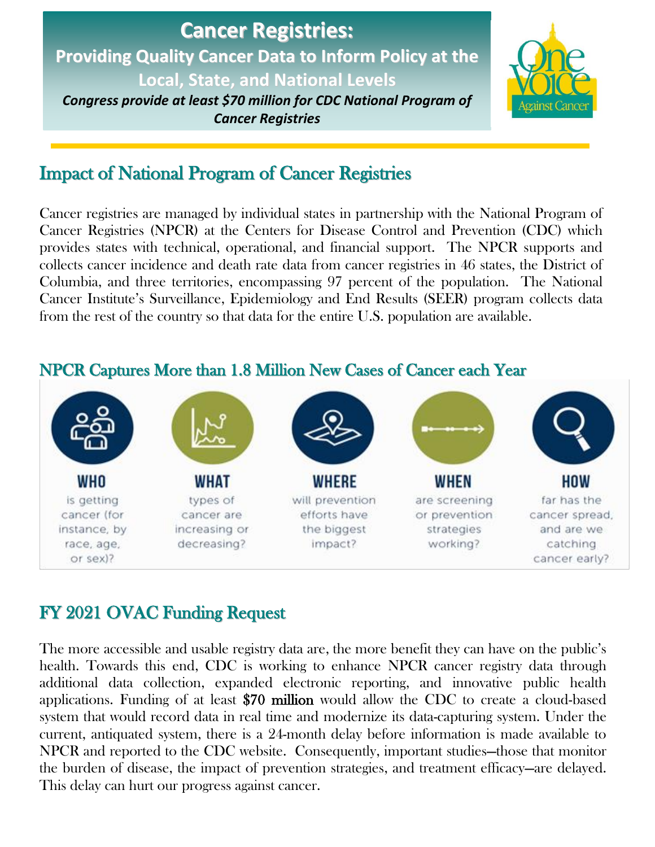# **Cancer Registries: Providing Quality Cancer Data to Inform Policy at the Local, State, and National Levels** *Congress provide at least \$70 million for CDC National Program of*

*Cancer Registries*



# Impact of National Program of Cancer Registries

Cancer registries are managed by individual states in partnership with the National Program of Cancer Registries (NPCR) at the Centers for Disease Control and Prevention (CDC) which provides states with technical, operational, and financial support. The NPCR supports and collects cancer incidence and death rate data from cancer registries in 46 states, the District of Columbia, and three territories, encompassing 97 percent of the population. The National Cancer Institute's Surveillance, Epidemiology and End Results (SEER) program collects data from the rest of the country so that data for the entire U.S. population are available.



### NPCR Captures More than 1.8 Million New Cases of Cancer each Year

## FY 2021 OVAC Funding Request

The more accessible and usable registry data are, the more benefit they can have on the public's health. Towards this end, CDC is working to enhance NPCR cancer registry data through additional data collection, expanded electronic reporting, and innovative public health applications. Funding of at least \$70 million would allow the CDC to create a cloud-based system that would record data in real time and modernize its data-capturing system. Under the current, antiquated system, there is a 24-month delay before information is made available to NPCR and reported to the CDC website. Consequently, important studies—those that monitor the burden of disease, the impact of prevention strategies, and treatment efficacy—are delayed. This delay can hurt our progress against cancer.